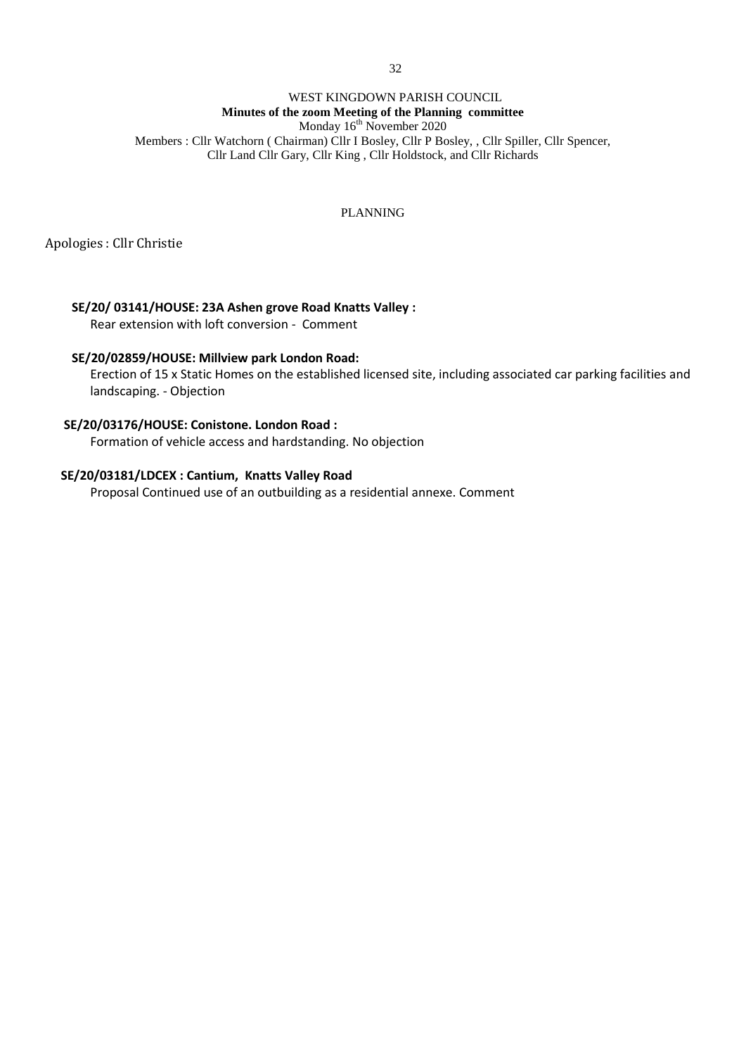## WEST KINGDOWN PARISH COUNCIL **Minutes of the zoom Meeting of the Planning committee**  Monday 16<sup>th</sup> November 2020 Members : Cllr Watchorn ( Chairman) Cllr I Bosley, Cllr P Bosley, , Cllr Spiller, Cllr Spencer, Cllr Land Cllr Gary, Cllr King , Cllr Holdstock, and Cllr Richards

# PLANNING

Apologies : Cllr Christie

# **SE/20/ 03141/HOUSE: 23A Ashen grove Road Knatts Valley :**

Rear extension with loft conversion - Comment

## **SE/20/02859/HOUSE: Millview park London Road:**

Erection of 15 x Static Homes on the established licensed site, including associated car parking facilities and landscaping. - Objection

# **SE/20/03176/HOUSE: Conistone. London Road :**

Formation of vehicle access and hardstanding. No objection

# **SE/20/03181/LDCEX : Cantium, Knatts Valley Road**

Proposal Continued use of an outbuilding as a residential annexe. Comment